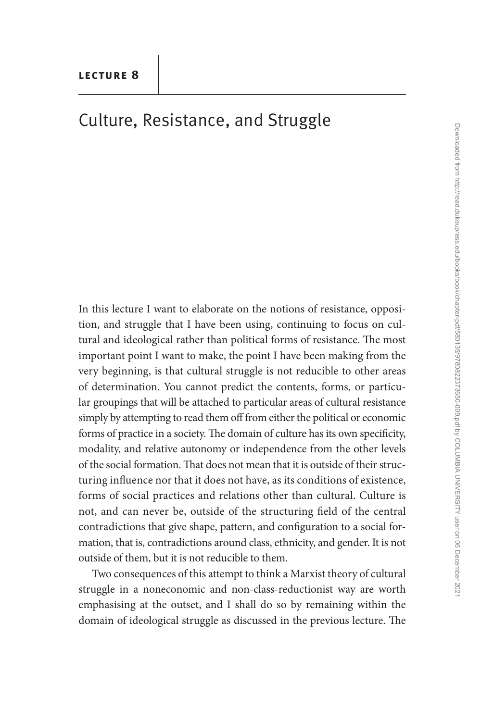## [Culture, Resistance, and Struggle](#page--1-0)

In this lecture I want to elaborate on the notions of resistance, opposition, and struggle that I have been using, continuing to focus on cultural and ideological rather than political forms of resistance. The most important point I want to make, the point I have been making from the very beginning, is that cultural struggle is not reducible to other areas of determination. You cannot predict the contents, forms, or particular groupings that will be attached to particular areas of cultural resistance simply by attempting to read them off from either the political or economic forms of practice in a society. The domain of culture has its own specificity, modality, and relative autonomy or independence from the other levels of the social formation. That does not mean that it is outside of their structuring influence nor that it does not have, as its conditions of existence, forms of social practices and relations other than cultural. Culture is not, and can never be, outside of the structuring field of the central contradictions that give shape, pattern, and configuration to a social formation, that is, contradictions around class, ethnicity, and gender. It is not outside of them, but it is not reducible to them.

Two consequences of this attempt to think a Marxist theory of cultural struggle in a noneconomic and non-class-reductionist way are worth emphasising at the outset, and I shall do so by remaining within the domain of ideological struggle as discussed in the previous lecture. The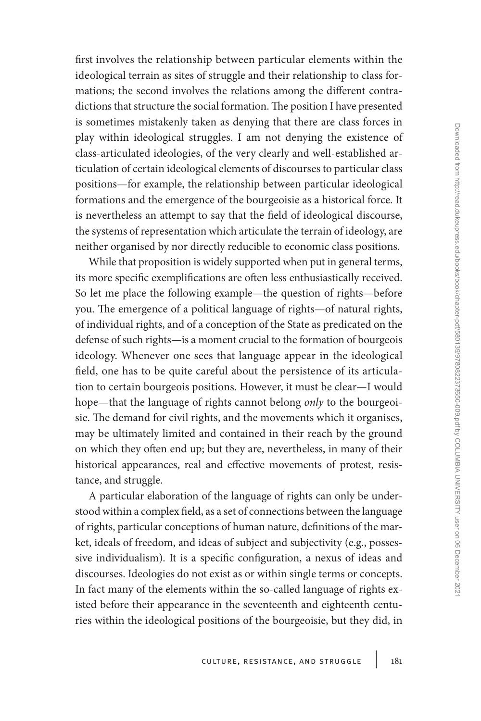first involves the relationship between particular elements within the ideological terrain as sites of struggle and their relationship to class formations; the second involves the relations among the different contradictions that structure the social formation. The position I have presented is sometimes mistakenly taken as denying that there are class forces in play within ideological struggles. I am not denying the existence of class-articulated ideologies, of the very clearly and well-established articulation of certain ideological elements of discourses to particular class positions—for example, the relationship between particular ideological formations and the emergence of the bourgeoisie as a historical force. It is nevertheless an attempt to say that the field of ideological discourse, the systems of representation which articulate the terrain of ideology, are neither organised by nor directly reducible to economic class positions.

While that proposition is widely supported when put in general terms, its more specific exemplifications are often less enthusiastically received. So let me place the following example—the question of rights—before you. The emergence of a political language of rights—of natural rights, of individual rights, and of a conception of the State as predicated on the defense of such rights—is a moment crucial to the formation of bourgeois ideology. Whenever one sees that language appear in the ideological field, one has to be quite careful about the persistence of its articulation to certain bourgeois positions. However, it must be clear—I would hope—that the language of rights cannot belong *only* to the bourgeoisie. The demand for civil rights, and the movements which it organises, may be ultimately limited and contained in their reach by the ground on which they often end up; but they are, nevertheless, in many of their historical appearances, real and effective movements of protest, resistance, and struggle.

A particular elaboration of the language of rights can only be understood within a complex field, as a set of connections between the language of rights, particular conceptions of human nature, definitions of the market, ideals of freedom, and ideas of subject and subjectivity (e.g., possessive individualism). It is a specific configuration, a nexus of ideas and discourses. Ideologies do not exist as or within single terms or concepts. In fact many of the elements within the so-called language of rights existed before their appearance in the seventeenth and eighteenth centuries within the ideological positions of the bourgeoisie, but they did, in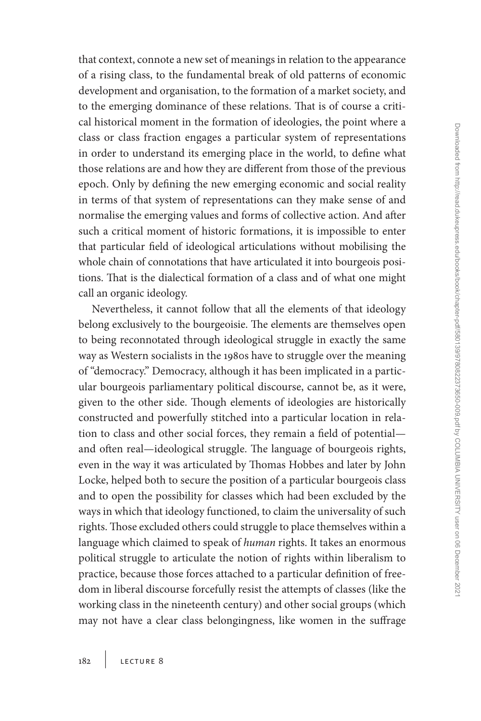that context, connote a new set of meanings in relation to the appearance of a rising class, to the fundamental break of old patterns of economic development and organisation, to the formation of a market society, and to the emerging dominance of these relations. That is of course a critical historical moment in the formation of ideologies, the point where a class or class fraction engages a particular system of representations in order to understand its emerging place in the world, to define what those relations are and how they are different from those of the previous epoch. Only by defining the new emerging economic and social reality in terms of that system of representations can they make sense of and normalise the emerging values and forms of collective action. And after such a critical moment of historic formations, it is impossible to enter that particular field of ideological articulations without mobilising the whole chain of connotations that have articulated it into bourgeois positions. That is the dialectical formation of a class and of what one might call an organic ideology.

Nevertheless, it cannot follow that all the elements of that ideology belong exclusively to the bourgeoisie. The elements are themselves open to being reconnotated through ideological struggle in exactly the same way as Western socialists in the 1980s have to struggle over the meaning of "democracy." Democracy, although it has been implicated in a particular bourgeois parliamentary political discourse, cannot be, as it were, given to the other side. Though elements of ideologies are historically constructed and powerfully stitched into a particular location in relation to class and other social forces, they remain a field of potential and often real—ideological struggle. The language of bourgeois rights, even in the way it was articulated by Thomas Hobbes and later by John Locke, helped both to secure the position of a particular bourgeois class and to open the possibility for classes which had been excluded by the ways in which that ideology functioned, to claim the universality of such rights. Those excluded others could struggle to place themselves within a language which claimed to speak of *human* rights. It takes an enormous political struggle to articulate the notion of rights within liberalism to practice, because those forces attached to a particular definition of freedom in liberal discourse forcefully resist the attempts of classes (like the working class in the nineteenth century) and other social groups (which may not have a clear class belongingness, like women in the suffrage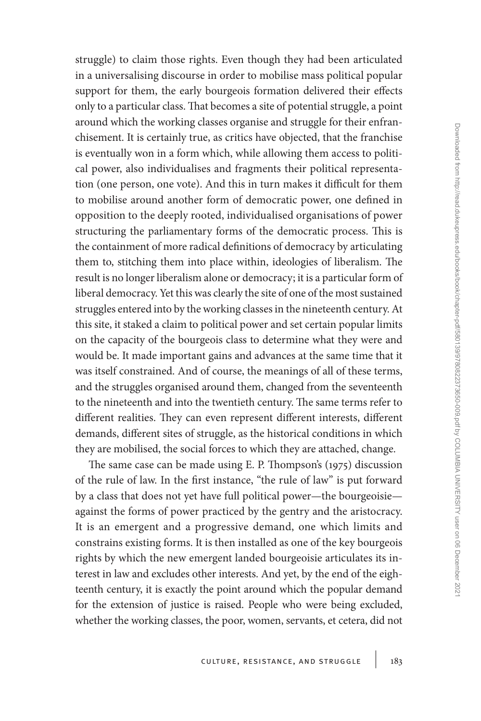struggle) to claim those rights. Even though they had been articulated in a universalising discourse in order to mobilise mass political popular support for them, the early bourgeois formation delivered their effects only to a particular class. That becomes a site of potential struggle, a point around which the working classes organise and struggle for their enfranchisement. It is certainly true, as critics have objected, that the franchise is eventually won in a form which, while allowing them access to political power, also individualises and fragments their political representation (one person, one vote). And this in turn makes it difficult for them to mobilise around another form of democratic power, one defined in opposition to the deeply rooted, individualised organisations of power structuring the parliamentary forms of the democratic process. This is the containment of more radical definitions of democracy by articulating them to, stitching them into place within, ideologies of liberalism. The result is no longer liberalism alone or democracy; it is a particular form of liberal democracy. Yet this was clearly the site of one of the most sustained struggles entered into by the working classes in the nineteenth century. At this site, it staked a claim to political power and set certain popular limits on the capacity of the bourgeois class to determine what they were and would be. It made important gains and advances at the same time that it was itself constrained. And of course, the meanings of all of these terms, and the struggles organised around them, changed from the seventeenth to the nineteenth and into the twentieth century. The same terms refer to different realities. They can even represent different interests, different demands, different sites of struggle, as the historical conditions in which they are mobilised, the social forces to which they are attached, change.

The same case can be made using E. P. Thompson's (1975) discussion of the rule of law. In the first instance, "the rule of law" is put forward by a class that does not yet have full political power—the bourgeoisie against the forms of power practiced by the gentry and the aristocracy. It is an emergent and a progressive demand, one which limits and constrains existing forms. It is then installed as one of the key bourgeois rights by which the new emergent landed bourgeoisie articulates its interest in law and excludes other interests. And yet, by the end of the eighteenth century, it is exactly the point around which the popular demand for the extension of justice is raised. People who were being excluded, whether the working classes, the poor, women, servants, et cetera, did not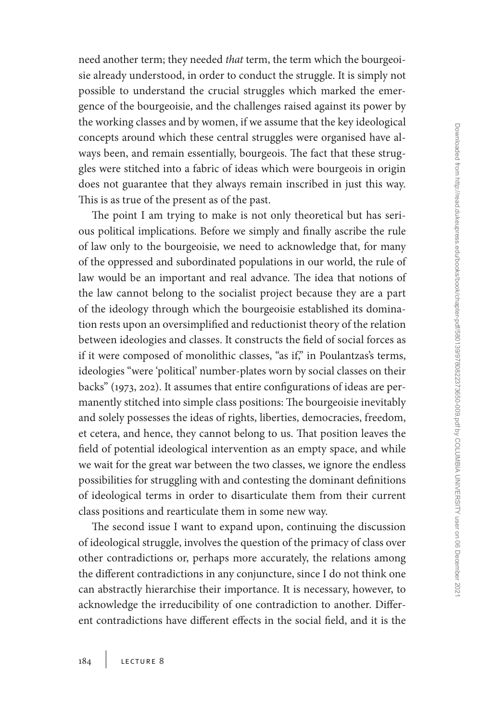need another term; they needed *that* term, the term which the bourgeoisie already understood, in order to conduct the struggle. It is simply not possible to understand the crucial struggles which marked the emergence of the bourgeoisie, and the challenges raised against its power by the working classes and by women, if we assume that the key ideological concepts around which these central struggles were organised have always been, and remain essentially, bourgeois. The fact that these struggles were stitched into a fabric of ideas which were bourgeois in origin does not guarantee that they always remain inscribed in just this way. This is as true of the present as of the past.

The point I am trying to make is not only theoretical but has serious political implications. Before we simply and finally ascribe the rule of law only to the bourgeoisie, we need to acknowledge that, for many of the oppressed and subordinated populations in our world, the rule of law would be an important and real advance. The idea that notions of the law cannot belong to the socialist project because they are a part of the ideology through which the bourgeoisie established its domination rests upon an oversimplified and reductionist theory of the relation between ideologies and classes. It constructs the field of social forces as if it were composed of monolithic classes, "as if," in Poulantzas's terms, ideologies "were 'political' number-plates worn by social classes on their backs" (1973, 202). It assumes that entire configurations of ideas are permanently stitched into simple class positions: The bourgeoisie inevitably and solely possesses the ideas of rights, liberties, democracies, freedom, et cetera, and hence, they cannot belong to us. That position leaves the field of potential ideological intervention as an empty space, and while we wait for the great war between the two classes, we ignore the endless possibilities for struggling with and contesting the dominant definitions of ideological terms in order to disarticulate them from their current class positions and rearticulate them in some new way.

The second issue I want to expand upon, continuing the discussion of ideological struggle, involves the question of the primacy of class over other contradictions or, perhaps more accurately, the relations among the different contradictions in any conjuncture, since I do not think one can abstractly hierarchise their importance. It is necessary, however, to acknowledge the irreducibility of one contradiction to another. Different contradictions have different effects in the social field, and it is the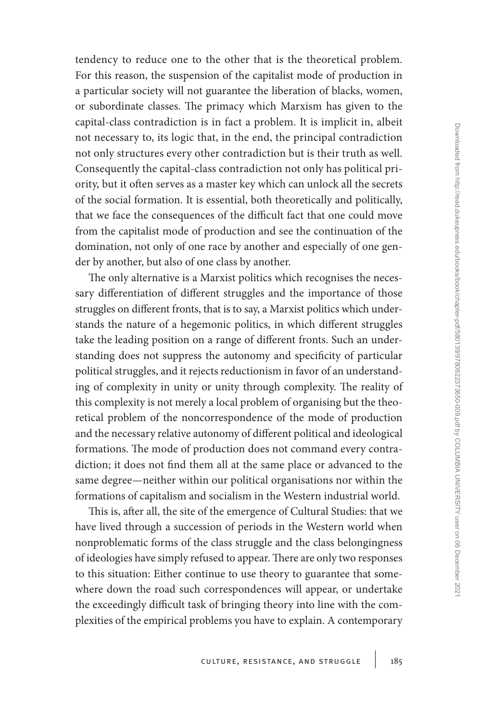tendency to reduce one to the other that is the theoretical problem. For this reason, the suspension of the capitalist mode of production in a particular society will not guarantee the liberation of blacks, women, or subordinate classes. The primacy which Marxism has given to the capital-class contradiction is in fact a problem. It is implicit in, albeit not necessary to, its logic that, in the end, the principal contradiction not only structures every other contradiction but is their truth as well. Consequently the capital-class contradiction not only has political priority, but it often serves as a master key which can unlock all the secrets of the social formation. It is essential, both theoretically and politically, that we face the consequences of the difficult fact that one could move from the capitalist mode of production and see the continuation of the domination, not only of one race by another and especially of one gender by another, but also of one class by another.

The only alternative is a Marxist politics which recognises the necessary differentiation of different struggles and the importance of those struggles on different fronts, that is to say, a Marxist politics which understands the nature of a hegemonic politics, in which different struggles take the leading position on a range of different fronts. Such an understanding does not suppress the autonomy and specificity of particular political struggles, and it rejects reductionism in favor of an understanding of complexity in unity or unity through complexity. The reality of this complexity is not merely a local problem of organising but the theoretical problem of the noncorrespondence of the mode of production and the necessary relative autonomy of different political and ideological formations. The mode of production does not command every contradiction; it does not find them all at the same place or advanced to the same degree—neither within our political organisations nor within the formations of capitalism and socialism in the Western industrial world.

This is, after all, the site of the emergence of Cultural Studies: that we have lived through a succession of periods in the Western world when nonproblematic forms of the class struggle and the class belongingness of ideologies have simply refused to appear. There are only two responses to this situation: Either continue to use theory to guarantee that somewhere down the road such correspondences will appear, or undertake the exceedingly difficult task of bringing theory into line with the complexities of the empirical problems you have to explain. A contemporary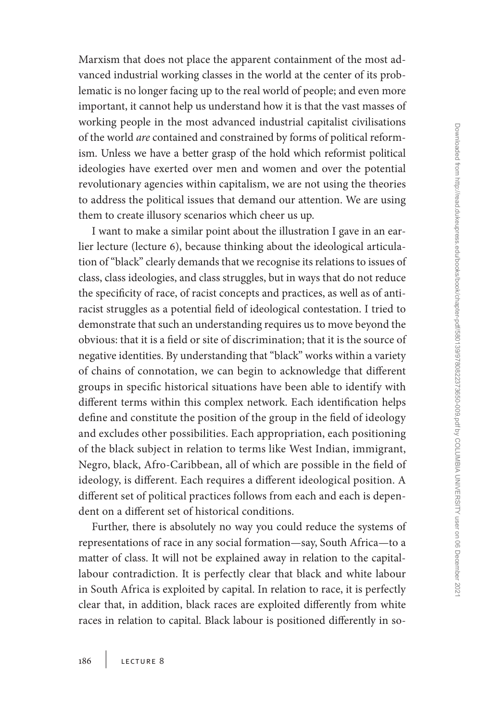Marxism that does not place the apparent containment of the most advanced industrial working classes in the world at the center of its problematic is no longer facing up to the real world of people; and even more important, it cannot help us understand how it is that the vast masses of working people in the most advanced industrial capitalist civilisations of the world *are* contained and constrained by forms of political reformism. Unless we have a better grasp of the hold which reformist political ideologies have exerted over men and women and over the potential revolutionary agencies within capitalism, we are not using the theories to address the political issues that demand our attention. We are using them to create illusory scenarios which cheer us up.

I want to make a similar point about the illustration I gave in an earlier lecture (lecture 6), because thinking about the ideological articulation of "black" clearly demands that we recognise its relations to issues of class, class ideologies, and class struggles, but in ways that do not reduce the specificity of race, of racist concepts and practices, as well as of antiracist struggles as a potential field of ideological contestation. I tried to demonstrate that such an understanding requires us to move beyond the obvious: that it is a field or site of discrimination; that it is the source of negative identities. By understanding that "black" works within a variety of chains of connotation, we can begin to acknowledge that different groups in specific historical situations have been able to identify with different terms within this complex network. Each identification helps define and constitute the position of the group in the field of ideology and excludes other possibilities. Each appropriation, each positioning of the black subject in relation to terms like West Indian, immigrant, Negro, black, Afro-Caribbean, all of which are possible in the field of ideology, is different. Each requires a different ideological position. A different set of political practices follows from each and each is dependent on a different set of historical conditions.

Further, there is absolutely no way you could reduce the systems of representations of race in any social formation—say, South Africa—to a matter of class. It will not be explained away in relation to the capitallabour contradiction. It is perfectly clear that black and white labour in South Africa is exploited by capital. In relation to race, it is perfectly clear that, in addition, black races are exploited differently from white races in relation to capital. Black labour is positioned differently in so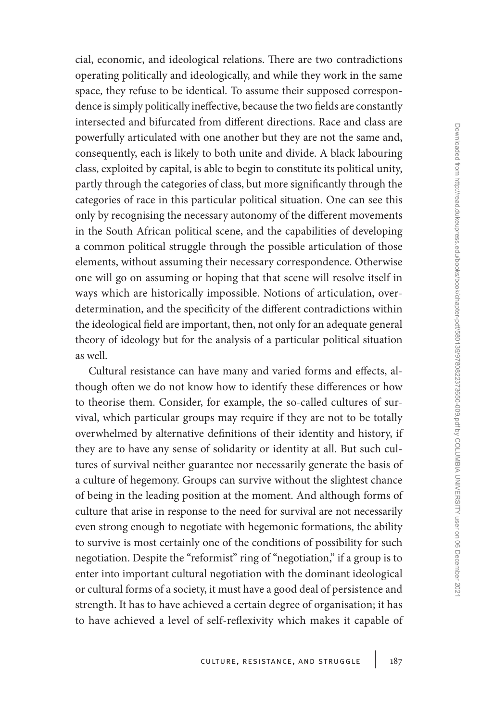cial, economic, and ideological relations. There are two contradictions operating politically and ideologically, and while they work in the same space, they refuse to be identical. To assume their supposed correspondence is simply politically ineffective, because the two fields are constantly intersected and bifurcated from different directions. Race and class are powerfully articulated with one another but they are not the same and, consequently, each is likely to both unite and divide. A black labouring class, exploited by capital, is able to begin to constitute its political unity, partly through the categories of class, but more significantly through the categories of race in this particular political situation. One can see this only by recognising the necessary autonomy of the different movements in the South African political scene, and the capabilities of developing a common political struggle through the possible articulation of those elements, without assuming their necessary correspondence. Otherwise one will go on assuming or hoping that that scene will resolve itself in ways which are historically impossible. Notions of articulation, overdetermination, and the specificity of the different contradictions within the ideological field are important, then, not only for an adequate general theory of ideology but for the analysis of a particular political situation as well.

Cultural resistance can have many and varied forms and effects, although often we do not know how to identify these differences or how to theorise them. Consider, for example, the so-called cultures of survival, which particular groups may require if they are not to be totally overwhelmed by alternative definitions of their identity and history, if they are to have any sense of solidarity or identity at all. But such cultures of survival neither guarantee nor necessarily generate the basis of a culture of hegemony. Groups can survive without the slightest chance of being in the leading position at the moment. And although forms of culture that arise in response to the need for survival are not necessarily even strong enough to negotiate with hegemonic formations, the ability to survive is most certainly one of the conditions of possibility for such negotiation. Despite the "reformist" ring of "negotiation," if a group is to enter into important cultural negotiation with the dominant ideological or cultural forms of a society, it must have a good deal of persistence and strength. It has to have achieved a certain degree of organisation; it has to have achieved a level of self-reflexivity which makes it capable of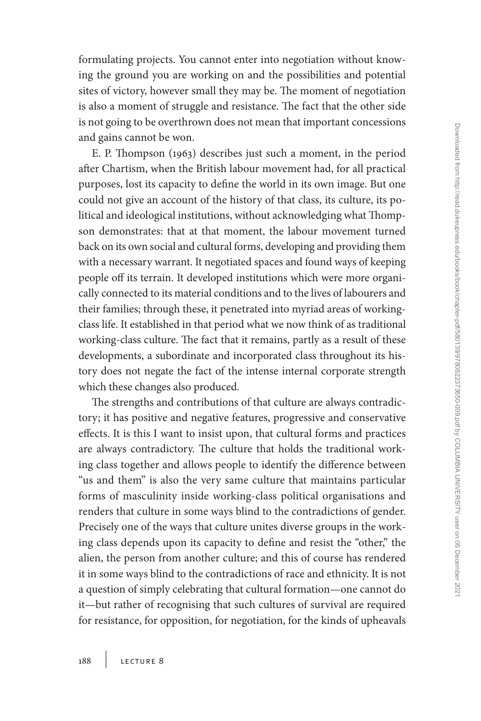formulating projects. You cannot enter into negotiation without knowing the ground you are working on and the possibilities and potential sites of victory, however small they may be. The moment of negotiation is also a moment of struggle and resistance. The fact that the other side is not going to be overthrown does not mean that important concessions and gains cannot be won.

E. P. Thompson (1963) describes just such a moment, in the period after Chartism, when the British labour movement had, for all practical purposes, lost its capacity to define the world in its own image. But one could not give an account of the history of that class, its culture, its political and ideological institutions, without acknowledging what Thompson demonstrates: that at that moment, the labour movement turned back on its own social and cultural forms, developing and providing them with a necessary warrant. It negotiated spaces and found ways of keeping people off its terrain. It developed institutions which were more organically connected to its material conditions and to the lives of labourers and their families; through these, it penetrated into myriad areas of workingclass life. It established in that period what we now think of as traditional working-class culture. The fact that it remains, partly as a result of these developments, a subordinate and incorporated class throughout its history does not negate the fact of the intense internal corporate strength which these changes also produced.

The strengths and contributions of that culture are always contradictory; it has positive and negative features, progressive and conservative effects. It is this I want to insist upon, that cultural forms and practices are always contradictory. The culture that holds the traditional working class together and allows people to identify the difference between "us and them" is also the very same culture that maintains particular forms of masculinity inside working-class political organisations and renders that culture in some ways blind to the contradictions of gender. Precisely one of the ways that culture unites diverse groups in the working class depends upon its capacity to define and resist the "other," the alien, the person from another culture; and this of course has rendered it in some ways blind to the contradictions of race and ethnicity. It is not a question of simply celebrating that cultural formation—one cannot do it—but rather of recognising that such cultures of survival are required for resistance, for opposition, for negotiation, for the kinds of upheavals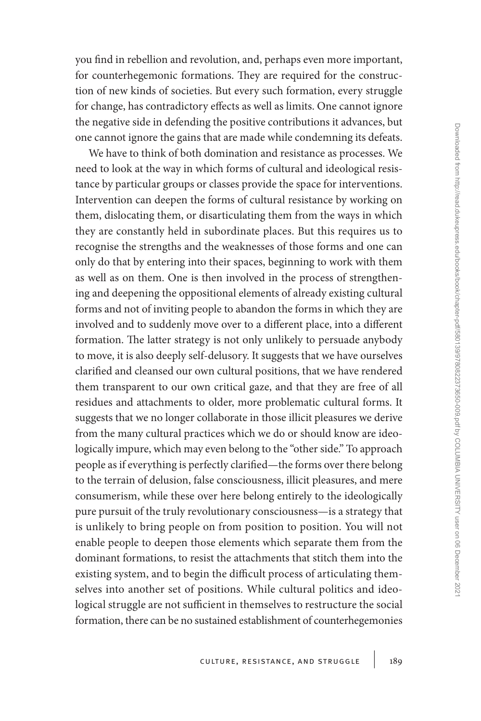you find in rebellion and revolution, and, perhaps even more important, for counterhegemonic formations. They are required for the construction of new kinds of societies. But every such formation, every struggle for change, has contradictory effects as well as limits. One cannot ignore the negative side in defending the positive contributions it advances, but one cannot ignore the gains that are made while condemning its defeats.

We have to think of both domination and resistance as processes. We need to look at the way in which forms of cultural and ideological resistance by particular groups or classes provide the space for interventions. Intervention can deepen the forms of cultural resistance by working on them, dislocating them, or disarticulating them from the ways in which they are constantly held in subordinate places. But this requires us to recognise the strengths and the weaknesses of those forms and one can only do that by entering into their spaces, beginning to work with them as well as on them. One is then involved in the process of strengthening and deepening the oppositional elements of already existing cultural forms and not of inviting people to abandon the forms in which they are involved and to suddenly move over to a different place, into a different formation. The latter strategy is not only unlikely to persuade anybody to move, it is also deeply self-delusory. It suggests that we have ourselves clarified and cleansed our own cultural positions, that we have rendered them transparent to our own critical gaze, and that they are free of all residues and attachments to older, more problematic cultural forms. It suggests that we no longer collaborate in those illicit pleasures we derive from the many cultural practices which we do or should know are ideologically impure, which may even belong to the "other side." To approach people as if everything is perfectly clarified—the forms over there belong to the terrain of delusion, false consciousness, illicit pleasures, and mere consumerism, while these over here belong entirely to the ideologically pure pursuit of the truly revolutionary consciousness—is a strategy that is unlikely to bring people on from position to position. You will not enable people to deepen those elements which separate them from the dominant formations, to resist the attachments that stitch them into the existing system, and to begin the difficult process of articulating themselves into another set of positions. While cultural politics and ideological struggle are not sufficient in themselves to restructure the social formation, there can be no sustained establishment of counterhegemonies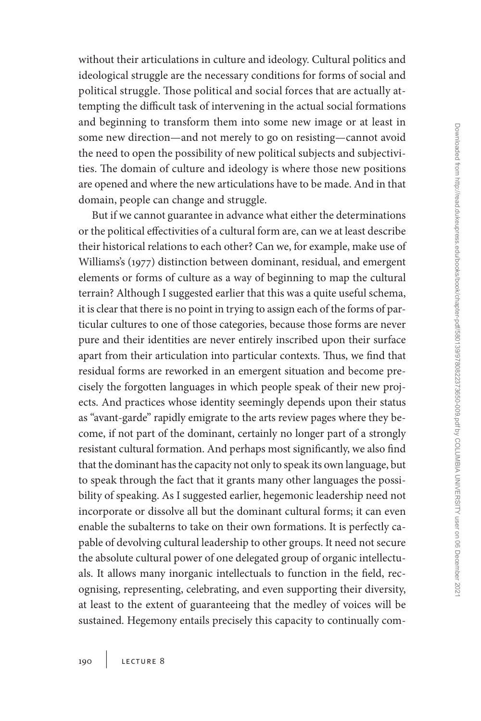without their articulations in culture and ideology. Cultural politics and ideological struggle are the necessary conditions for forms of social and political struggle. Those political and social forces that are actually attempting the difficult task of intervening in the actual social formations and beginning to transform them into some new image or at least in some new direction—and not merely to go on resisting—cannot avoid the need to open the possibility of new political subjects and subjectivities. The domain of culture and ideology is where those new positions are opened and where the new articulations have to be made. And in that domain, people can change and struggle.

But if we cannot guarantee in advance what either the determinations or the political effectivities of a cultural form are, can we at least describe their historical relations to each other? Can we, for example, make use of Williams's (1977) distinction between dominant, residual, and emergent elements or forms of culture as a way of beginning to map the cultural terrain? Although I suggested earlier that this was a quite useful schema, it is clear that there is no point in trying to assign each of the forms of particular cultures to one of those categories, because those forms are never pure and their identities are never entirely inscribed upon their surface apart from their articulation into particular contexts. Thus, we find that residual forms are reworked in an emergent situation and become precisely the forgotten languages in which people speak of their new projects. And practices whose identity seemingly depends upon their status as "avant-garde" rapidly emigrate to the arts review pages where they become, if not part of the dominant, certainly no longer part of a strongly resistant cultural formation. And perhaps most significantly, we also find that the dominant has the capacity not only to speak its own language, but to speak through the fact that it grants many other languages the possibility of speaking. As I suggested earlier, hegemonic leadership need not incorporate or dissolve all but the dominant cultural forms; it can even enable the subalterns to take on their own formations. It is perfectly capable of devolving cultural leadership to other groups. It need not secure the absolute cultural power of one delegated group of organic intellectuals. It allows many inorganic intellectuals to function in the field, recognising, representing, celebrating, and even supporting their diversity, at least to the extent of guaranteeing that the medley of voices will be sustained. Hegemony entails precisely this capacity to continually com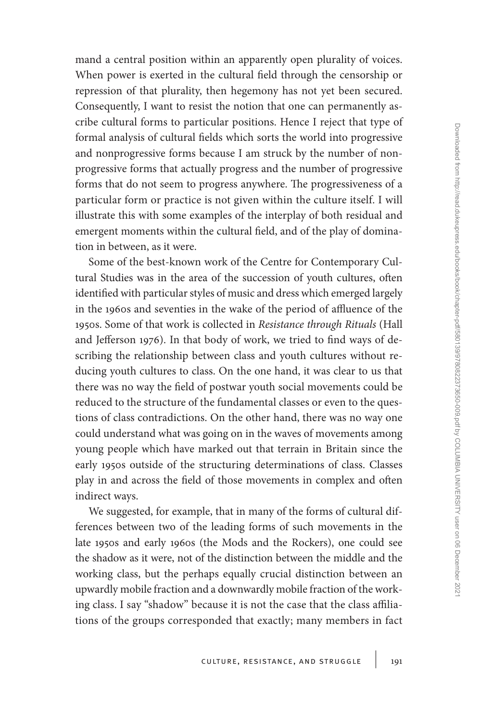mand a central position within an apparently open plurality of voices. When power is exerted in the cultural field through the censorship or repression of that plurality, then hegemony has not yet been secured. Consequently, I want to resist the notion that one can permanently ascribe cultural forms to particular positions. Hence I reject that type of formal analysis of cultural fields which sorts the world into progressive and nonprogressive forms because I am struck by the number of nonprogressive forms that actually progress and the number of progressive forms that do not seem to progress anywhere. The progressiveness of a particular form or practice is not given within the culture itself. I will illustrate this with some examples of the interplay of both residual and emergent moments within the cultural field, and of the play of domination in between, as it were.

Some of the best-known work of the Centre for Contemporary Cultural Studies was in the area of the succession of youth cultures, often identified with particular styles of music and dress which emerged largely in the 1960s and seventies in the wake of the period of affluence of the 1950s. Some of that work is collected in *Resistance through Rituals* (Hall and Jefferson 1976). In that body of work, we tried to find ways of describing the relationship between class and youth cultures without reducing youth cultures to class. On the one hand, it was clear to us that there was no way the field of postwar youth social movements could be reduced to the structure of the fundamental classes or even to the questions of class contradictions. On the other hand, there was no way one could understand what was going on in the waves of movements among young people which have marked out that terrain in Britain since the early 1950s outside of the structuring determinations of class. Classes play in and across the field of those movements in complex and often indirect ways.

We suggested, for example, that in many of the forms of cultural differences between two of the leading forms of such movements in the late 1950s and early 1960s (the Mods and the Rockers), one could see the shadow as it were, not of the distinction between the middle and the working class, but the perhaps equally crucial distinction between an upwardly mobile fraction and a downwardly mobile fraction of the working class. I say "shadow" because it is not the case that the class affiliations of the groups corresponded that exactly; many members in fact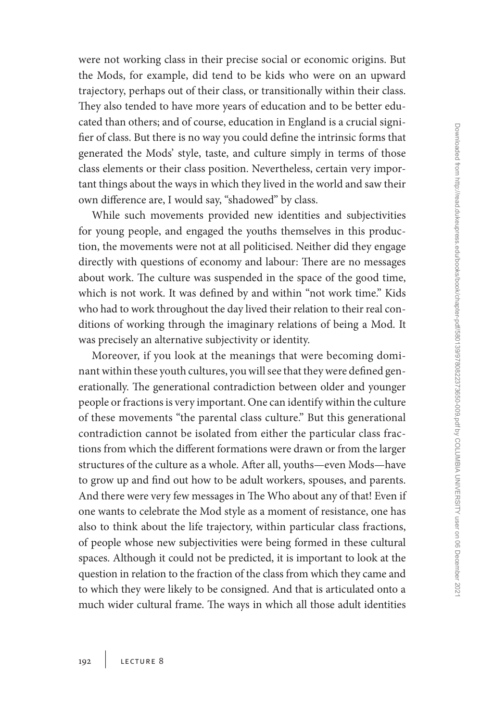were not working class in their precise social or economic origins. But the Mods, for example, did tend to be kids who were on an upward trajectory, perhaps out of their class, or transitionally within their class. They also tended to have more years of education and to be better educated than others; and of course, education in England is a crucial signifier of class. But there is no way you could define the intrinsic forms that generated the Mods' style, taste, and culture simply in terms of those class elements or their class position. Nevertheless, certain very important things about the ways in which they lived in the world and saw their own difference are, I would say, "shadowed" by class.

While such movements provided new identities and subjectivities for young people, and engaged the youths themselves in this production, the movements were not at all politicised. Neither did they engage directly with questions of economy and labour: There are no messages about work. The culture was suspended in the space of the good time, which is not work. It was defined by and within "not work time." Kids who had to work throughout the day lived their relation to their real conditions of working through the imaginary relations of being a Mod. It was precisely an alternative subjectivity or identity.

Moreover, if you look at the meanings that were becoming dominant within these youth cultures, you will see that they were defined generationally. The generational contradiction between older and younger people or fractions is very important. One can identify within the culture of these movements "the parental class culture." But this generational contradiction cannot be isolated from either the particular class fractions from which the different formations were drawn or from the larger structures of the culture as a whole. After all, youths—even Mods—have to grow up and find out how to be adult workers, spouses, and parents. And there were very few messages in The Who about any of that! Even if one wants to celebrate the Mod style as a moment of resistance, one has also to think about the life trajectory, within particular class fractions, of people whose new subjectivities were being formed in these cultural spaces. Although it could not be predicted, it is important to look at the question in relation to the fraction of the class from which they came and to which they were likely to be consigned. And that is articulated onto a much wider cultural frame. The ways in which all those adult identities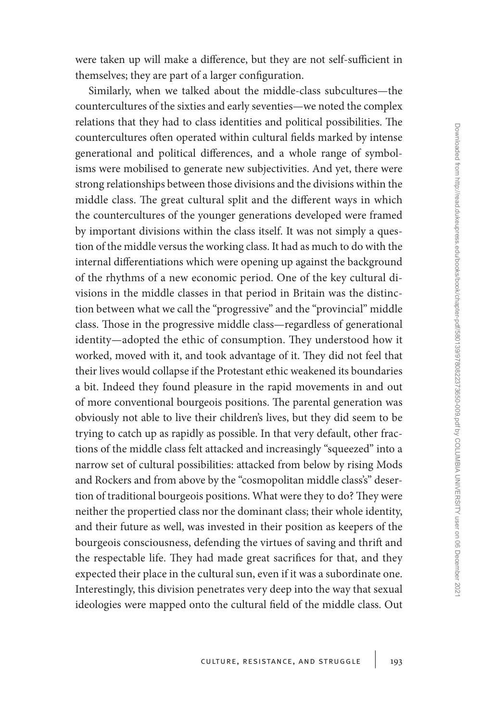Similarly, when we talked about the middle-class subcultures—the countercultures of the sixties and early seventies—we noted the complex relations that they had to class identities and political possibilities. The countercultures often operated within cultural fields marked by intense generational and political differences, and a whole range of symbolisms were mobilised to generate new subjectivities. And yet, there were strong relationships between those divisions and the divisions within the middle class. The great cultural split and the different ways in which the countercultures of the younger generations developed were framed by important divisions within the class itself. It was not simply a question of the middle versus the working class. It had as much to do with the internal differentiations which were opening up against the background of the rhythms of a new economic period. One of the key cultural divisions in the middle classes in that period in Britain was the distinction between what we call the "progressive" and the "provincial" middle class. Those in the progressive middle class—regardless of generational identity—adopted the ethic of consumption. They understood how it worked, moved with it, and took advantage of it. They did not feel that their lives would collapse if the Protestant ethic weakened its boundaries a bit. Indeed they found pleasure in the rapid movements in and out of more conventional bourgeois positions. The parental generation was obviously not able to live their children's lives, but they did seem to be trying to catch up as rapidly as possible. In that very default, other fractions of the middle class felt attacked and increasingly "squeezed" into a narrow set of cultural possibilities: attacked from below by rising Mods and Rockers and from above by the "cosmopolitan middle class's" desertion of traditional bourgeois positions. What were they to do? They were neither the propertied class nor the dominant class; their whole identity, and their future as well, was invested in their position as keepers of the bourgeois consciousness, defending the virtues of saving and thrift and the respectable life. They had made great sacrifices for that, and they expected their place in the cultural sun, even if it was a subordinate one. Interestingly, this division penetrates very deep into the way that sexual ideologies were mapped onto the cultural field of the middle class. Out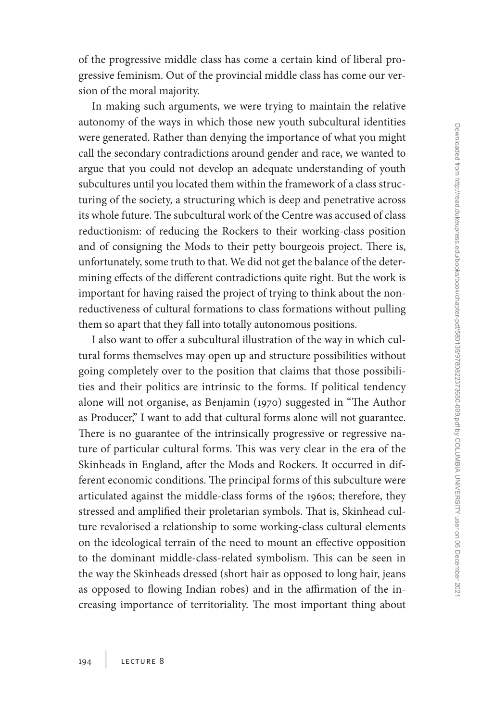of the progressive middle class has come a certain kind of liberal progressive feminism. Out of the provincial middle class has come our version of the moral majority.

In making such arguments, we were trying to maintain the relative autonomy of the ways in which those new youth subcultural identities were generated. Rather than denying the importance of what you might call the secondary contradictions around gender and race, we wanted to argue that you could not develop an adequate understanding of youth subcultures until you located them within the framework of a class structuring of the society, a structuring which is deep and penetrative across its whole future. The subcultural work of the Centre was accused of class reductionism: of reducing the Rockers to their working-class position and of consigning the Mods to their petty bourgeois project. There is, unfortunately, some truth to that. We did not get the balance of the determining effects of the different contradictions quite right. But the work is important for having raised the project of trying to think about the nonreductiveness of cultural formations to class formations without pulling them so apart that they fall into totally autonomous positions.

I also want to offer a subcultural illustration of the way in which cultural forms themselves may open up and structure possibilities without going completely over to the position that claims that those possibilities and their politics are intrinsic to the forms. If political tendency alone will not organise, as Benjamin (1970) suggested in "The Author as Producer," I want to add that cultural forms alone will not guarantee. There is no guarantee of the intrinsically progressive or regressive nature of particular cultural forms. This was very clear in the era of the Skinheads in England, after the Mods and Rockers. It occurred in different economic conditions. The principal forms of this subculture were articulated against the middle-class forms of the 1960s; therefore, they stressed and amplified their proletarian symbols. That is, Skinhead culture revalorised a relationship to some working-class cultural elements on the ideological terrain of the need to mount an effective opposition to the dominant middle-class-related symbolism. This can be seen in the way the Skinheads dressed (short hair as opposed to long hair, jeans as opposed to flowing Indian robes) and in the affirmation of the increasing importance of territoriality. The most important thing about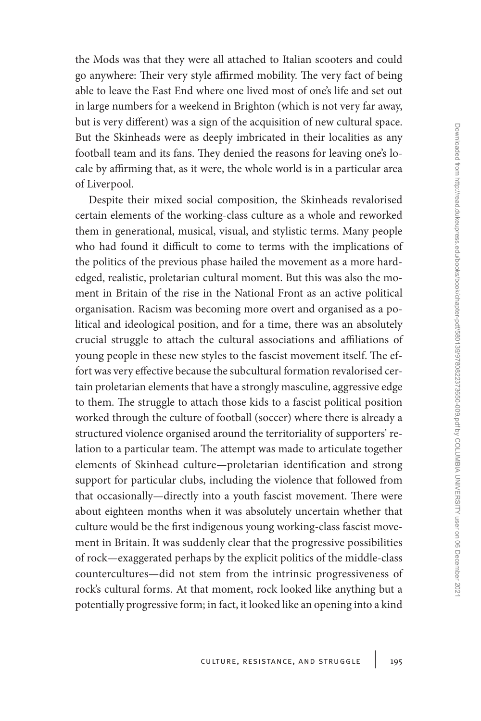the Mods was that they were all attached to Italian scooters and could go anywhere: Their very style affirmed mobility. The very fact of being able to leave the East End where one lived most of one's life and set out in large numbers for a weekend in Brighton (which is not very far away, but is very different) was a sign of the acquisition of new cultural space. But the Skinheads were as deeply imbricated in their localities as any football team and its fans. They denied the reasons for leaving one's locale by affirming that, as it were, the whole world is in a particular area of Liverpool.

Despite their mixed social composition, the Skinheads revalorised certain elements of the working-class culture as a whole and reworked them in generational, musical, visual, and stylistic terms. Many people who had found it difficult to come to terms with the implications of the politics of the previous phase hailed the movement as a more hardedged, realistic, proletarian cultural moment. But this was also the moment in Britain of the rise in the National Front as an active political organisation. Racism was becoming more overt and organised as a political and ideological position, and for a time, there was an absolutely crucial struggle to attach the cultural associations and affiliations of young people in these new styles to the fascist movement itself. The effort was very effective because the subcultural formation revalorised certain proletarian elements that have a strongly masculine, aggressive edge to them. The struggle to attach those kids to a fascist political position worked through the culture of football (soccer) where there is already a structured violence organised around the territoriality of supporters' relation to a particular team. The attempt was made to articulate together elements of Skinhead culture—proletarian identification and strong support for particular clubs, including the violence that followed from that occasionally—directly into a youth fascist movement. There were about eighteen months when it was absolutely uncertain whether that culture would be the first indigenous young working-class fascist movement in Britain. It was suddenly clear that the progressive possibilities of rock—exaggerated perhaps by the explicit politics of the middle-class countercultures—did not stem from the intrinsic progressiveness of rock's cultural forms. At that moment, rock looked like anything but a potentially progressive form; in fact, it looked like an opening into a kind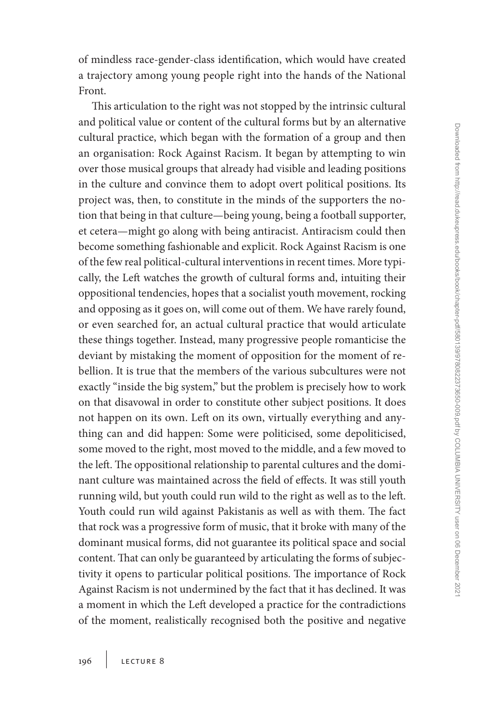of mindless race-gender-class identification, which would have created a trajectory among young people right into the hands of the National Front.

This articulation to the right was not stopped by the intrinsic cultural and political value or content of the cultural forms but by an alternative cultural practice, which began with the formation of a group and then an organisation: Rock Against Racism. It began by attempting to win over those musical groups that already had visible and leading positions in the culture and convince them to adopt overt political positions. Its project was, then, to constitute in the minds of the supporters the notion that being in that culture—being young, being a football supporter, et cetera—might go along with being antiracist. Antiracism could then become something fashionable and explicit. Rock Against Racism is one of the few real political-cultural interventions in recent times. More typically, the Left watches the growth of cultural forms and, intuiting their oppositional tendencies, hopes that a socialist youth movement, rocking and opposing as it goes on, will come out of them. We have rarely found, or even searched for, an actual cultural practice that would articulate these things together. Instead, many progressive people romanticise the deviant by mistaking the moment of opposition for the moment of rebellion. It is true that the members of the various subcultures were not exactly "inside the big system," but the problem is precisely how to work on that disavowal in order to constitute other subject positions. It does not happen on its own. Left on its own, virtually everything and anything can and did happen: Some were politicised, some depoliticised, some moved to the right, most moved to the middle, and a few moved to the left. The oppositional relationship to parental cultures and the dominant culture was maintained across the field of effects. It was still youth running wild, but youth could run wild to the right as well as to the left. Youth could run wild against Pakistanis as well as with them. The fact that rock was a progressive form of music, that it broke with many of the dominant musical forms, did not guarantee its political space and social content. That can only be guaranteed by articulating the forms of subjectivity it opens to particular political positions. The importance of Rock Against Racism is not undermined by the fact that it has declined. It was a moment in which the Left developed a practice for the contradictions of the moment, realistically recognised both the positive and negative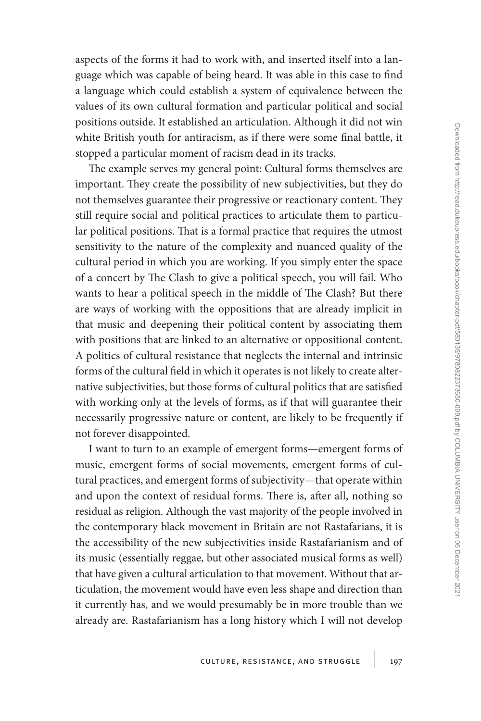aspects of the forms it had to work with, and inserted itself into a language which was capable of being heard. It was able in this case to find a language which could establish a system of equivalence between the values of its own cultural formation and particular political and social positions outside. It established an articulation. Although it did not win white British youth for antiracism, as if there were some final battle, it stopped a particular moment of racism dead in its tracks.

The example serves my general point: Cultural forms themselves are important. They create the possibility of new subjectivities, but they do not themselves guarantee their progressive or reactionary content. They still require social and political practices to articulate them to particular political positions. That is a formal practice that requires the utmost sensitivity to the nature of the complexity and nuanced quality of the cultural period in which you are working. If you simply enter the space of a concert by The Clash to give a political speech, you will fail. Who wants to hear a political speech in the middle of The Clash? But there are ways of working with the oppositions that are already implicit in that music and deepening their political content by associating them with positions that are linked to an alternative or oppositional content. A politics of cultural resistance that neglects the internal and intrinsic forms of the cultural field in which it operates is not likely to create alternative subjectivities, but those forms of cultural politics that are satisfied with working only at the levels of forms, as if that will guarantee their necessarily progressive nature or content, are likely to be frequently if not forever disappointed.

I want to turn to an example of emergent forms—emergent forms of music, emergent forms of social movements, emergent forms of cultural practices, and emergent forms of subjectivity—that operate within and upon the context of residual forms. There is, after all, nothing so residual as religion. Although the vast majority of the people involved in the contemporary black movement in Britain are not Rastafarians, it is the accessibility of the new subjectivities inside Rastafarianism and of its music (essentially reggae, but other associated musical forms as well) that have given a cultural articulation to that movement. Without that articulation, the movement would have even less shape and direction than it currently has, and we would presumably be in more trouble than we already are. Rastafarianism has a long history which I will not develop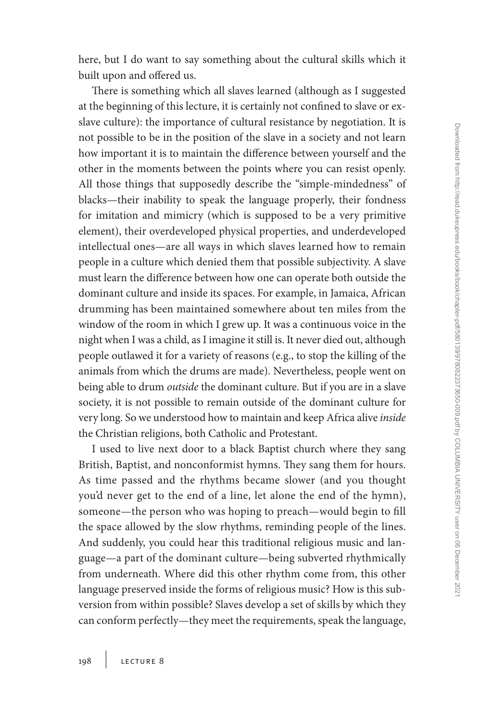here, but I do want to say something about the cultural skills which it built upon and offered us.

There is something which all slaves learned (although as I suggested at the beginning of this lecture, it is certainly not confined to slave or exslave culture): the importance of cultural resistance by negotiation. It is not possible to be in the position of the slave in a society and not learn how important it is to maintain the difference between yourself and the other in the moments between the points where you can resist openly. All those things that supposedly describe the "simple-mindedness" of blacks—their inability to speak the language properly, their fondness for imitation and mimicry (which is supposed to be a very primitive element), their overdeveloped physical properties, and underdeveloped intellectual ones—are all ways in which slaves learned how to remain people in a culture which denied them that possible subjectivity. A slave must learn the difference between how one can operate both outside the dominant culture and inside its spaces. For example, in Jamaica, African drumming has been maintained somewhere about ten miles from the window of the room in which I grew up. It was a continuous voice in the night when I was a child, as I imagine it still is. It never died out, although people outlawed it for a variety of reasons (e.g., to stop the killing of the animals from which the drums are made). Nevertheless, people went on being able to drum *outside* the dominant culture. But if you are in a slave society, it is not possible to remain outside of the dominant culture for very long. So we understood how to maintain and keep Africa alive *inside* the Christian religions, both Catholic and Protestant.

I used to live next door to a black Baptist church where they sang British, Baptist, and nonconformist hymns. They sang them for hours. As time passed and the rhythms became slower (and you thought you'd never get to the end of a line, let alone the end of the hymn), someone—the person who was hoping to preach—would begin to fill the space allowed by the slow rhythms, reminding people of the lines. And suddenly, you could hear this traditional religious music and language—a part of the dominant culture—being subverted rhythmically from underneath. Where did this other rhythm come from, this other language preserved inside the forms of religious music? How is this subversion from within possible? Slaves develop a set of skills by which they can conform perfectly—they meet the requirements, speak the language,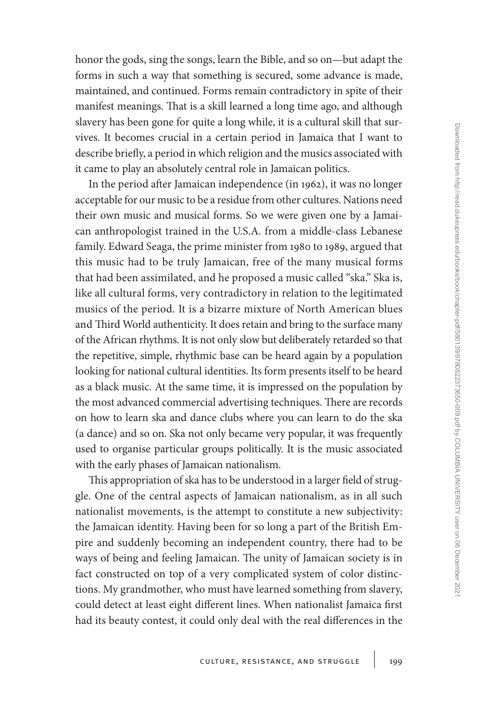honor the gods, sing the songs, learn the Bible, and so on—but adapt the forms in such a way that something is secured, some advance is made, maintained, and continued. Forms remain contradictory in spite of their manifest meanings. That is a skill learned a long time ago, and although slavery has been gone for quite a long while, it is a cultural skill that survives. It becomes crucial in a certain period in Jamaica that I want to describe briefly, a period in which religion and the musics associated with it came to play an absolutely central role in Jamaican politics.

In the period after Jamaican independence (in 1962), it was no longer acceptable for our music to be a residue from other cultures. Nations need their own music and musical forms. So we were given one by a Jamaican anthropologist trained in the U.S.A. from a middle-class Lebanese family. Edward Seaga, the prime minister from 1980 to 1989, argued that this music had to be truly Jamaican, free of the many musical forms that had been assimilated, and he proposed a music called "ska." Ska is, like all cultural forms, very contradictory in relation to the legitimated musics of the period. It is a bizarre mixture of North American blues and Third World authenticity. It does retain and bring to the surface many of the African rhythms. It is not only slow but deliberately retarded so that the repetitive, simple, rhythmic base can be heard again by a population looking for national cultural identities. Its form presents itself to be heard as a black music. At the same time, it is impressed on the population by the most advanced commercial advertising techniques. There are records on how to learn ska and dance clubs where you can learn to do the ska (a dance) and so on. Ska not only became very popular, it was frequently used to organise particular groups politically. It is the music associated with the early phases of Jamaican nationalism.

This appropriation of ska has to be understood in a larger field of struggle. One of the central aspects of Jamaican nationalism, as in all such nationalist movements, is the attempt to constitute a new subjectivity: the Jamaican identity. Having been for so long a part of the British Empire and suddenly becoming an independent country, there had to be ways of being and feeling Jamaican. The unity of Jamaican society is in fact constructed on top of a very complicated system of color distinctions. My grandmother, who must have learned something from slavery, could detect at least eight different lines. When nationalist Jamaica first had its beauty contest, it could only deal with the real differences in the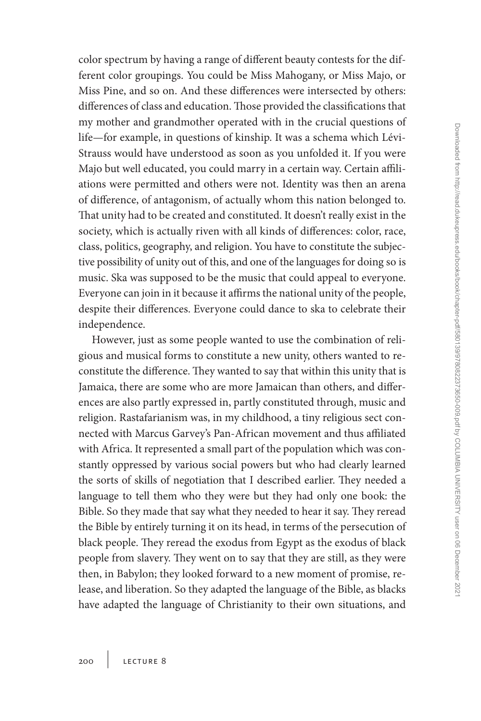color spectrum by having a range of different beauty contests for the different color groupings. You could be Miss Mahogany, or Miss Majo, or Miss Pine, and so on. And these differences were intersected by others: differences of class and education. Those provided the classifications that my mother and grandmother operated with in the crucial questions of life—for example, in questions of kinship. It was a schema which Lévi-Strauss would have understood as soon as you unfolded it. If you were Majo but well educated, you could marry in a certain way. Certain affiliations were permitted and others were not. Identity was then an arena of difference, of antagonism, of actually whom this nation belonged to. That unity had to be created and constituted. It doesn't really exist in the society, which is actually riven with all kinds of differences: color, race, class, politics, geography, and religion. You have to constitute the subjective possibility of unity out of this, and one of the languages for doing so is music. Ska was supposed to be the music that could appeal to everyone. Everyone can join in it because it affirms the national unity of the people, despite their differences. Everyone could dance to ska to celebrate their independence.

However, just as some people wanted to use the combination of religious and musical forms to constitute a new unity, others wanted to reconstitute the difference. They wanted to say that within this unity that is Jamaica, there are some who are more Jamaican than others, and differences are also partly expressed in, partly constituted through, music and religion. Rastafarianism was, in my childhood, a tiny religious sect connected with Marcus Garvey's Pan-African movement and thus affiliated with Africa. It represented a small part of the population which was constantly oppressed by various social powers but who had clearly learned the sorts of skills of negotiation that I described earlier. They needed a language to tell them who they were but they had only one book: the Bible. So they made that say what they needed to hear it say. They reread the Bible by entirely turning it on its head, in terms of the persecution of black people. They reread the exodus from Egypt as the exodus of black people from slavery. They went on to say that they are still, as they were then, in Babylon; they looked forward to a new moment of promise, release, and liberation. So they adapted the language of the Bible, as blacks have adapted the language of Christianity to their own situations, and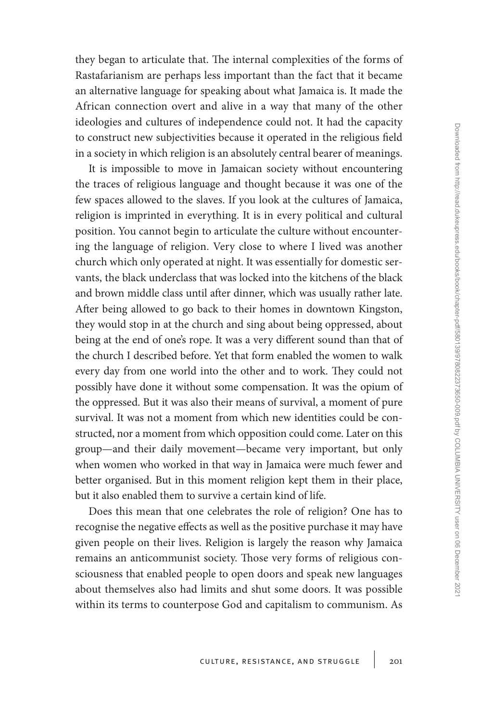they began to articulate that. The internal complexities of the forms of Rastafarianism are perhaps less important than the fact that it became an alternative language for speaking about what Jamaica is. It made the African connection overt and alive in a way that many of the other ideologies and cultures of independence could not. It had the capacity to construct new subjectivities because it operated in the religious field in a society in which religion is an absolutely central bearer of meanings.

It is impossible to move in Jamaican society without encountering the traces of religious language and thought because it was one of the few spaces allowed to the slaves. If you look at the cultures of Jamaica, religion is imprinted in everything. It is in every political and cultural position. You cannot begin to articulate the culture without encountering the language of religion. Very close to where I lived was another church which only operated at night. It was essentially for domestic servants, the black underclass that was locked into the kitchens of the black and brown middle class until after dinner, which was usually rather late. After being allowed to go back to their homes in downtown Kingston, they would stop in at the church and sing about being oppressed, about being at the end of one's rope. It was a very different sound than that of the church I described before. Yet that form enabled the women to walk every day from one world into the other and to work. They could not possibly have done it without some compensation. It was the opium of the oppressed. But it was also their means of survival, a moment of pure survival. It was not a moment from which new identities could be constructed, nor a moment from which opposition could come. Later on this group—and their daily movement—became very important, but only when women who worked in that way in Jamaica were much fewer and better organised. But in this moment religion kept them in their place, but it also enabled them to survive a certain kind of life.

Does this mean that one celebrates the role of religion? One has to recognise the negative effects as well as the positive purchase it may have given people on their lives. Religion is largely the reason why Jamaica remains an anticommunist society. Those very forms of religious consciousness that enabled people to open doors and speak new languages about themselves also had limits and shut some doors. It was possible within its terms to counterpose God and capitalism to communism. As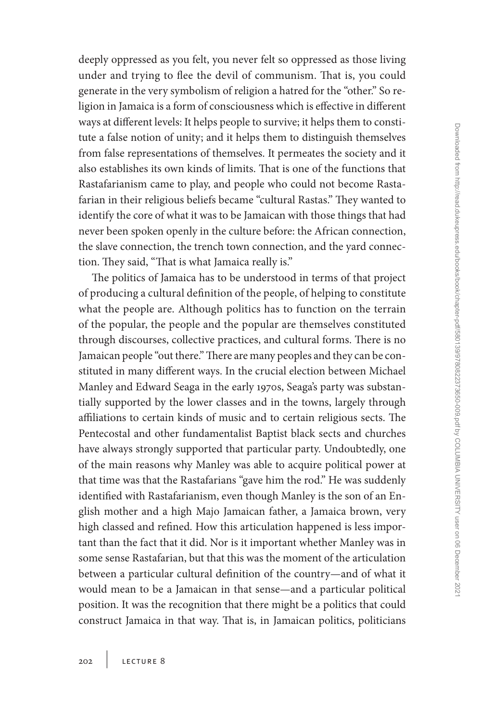deeply oppressed as you felt, you never felt so oppressed as those living under and trying to flee the devil of communism. That is, you could generate in the very symbolism of religion a hatred for the "other." So religion in Jamaica is a form of consciousness which is effective in different ways at different levels: It helps people to survive; it helps them to constitute a false notion of unity; and it helps them to distinguish themselves from false representations of themselves. It permeates the society and it also establishes its own kinds of limits. That is one of the functions that Rastafarianism came to play, and people who could not become Rastafarian in their religious beliefs became "cultural Rastas." They wanted to identify the core of what it was to be Jamaican with those things that had never been spoken openly in the culture before: the African connection, the slave connection, the trench town connection, and the yard connection. They said, "That is what Jamaica really is."

The politics of Jamaica has to be understood in terms of that project of producing a cultural definition of the people, of helping to constitute what the people are. Although politics has to function on the terrain of the popular, the people and the popular are themselves constituted through discourses, collective practices, and cultural forms. There is no Jamaican people "out there." There are many peoples and they can be constituted in many different ways. In the crucial election between Michael Manley and Edward Seaga in the early 1970s, Seaga's party was substantially supported by the lower classes and in the towns, largely through affiliations to certain kinds of music and to certain religious sects. The Pentecostal and other fundamentalist Baptist black sects and churches have always strongly supported that particular party. Undoubtedly, one of the main reasons why Manley was able to acquire political power at that time was that the Rastafarians "gave him the rod." He was suddenly identified with Rastafarianism, even though Manley is the son of an English mother and a high Majo Jamaican father, a Jamaica brown, very high classed and refined. How this articulation happened is less important than the fact that it did. Nor is it important whether Manley was in some sense Rastafarian, but that this was the moment of the articulation between a particular cultural definition of the country—and of what it would mean to be a Jamaican in that sense—and a particular political position. It was the recognition that there might be a politics that could construct Jamaica in that way. That is, in Jamaican politics, politicians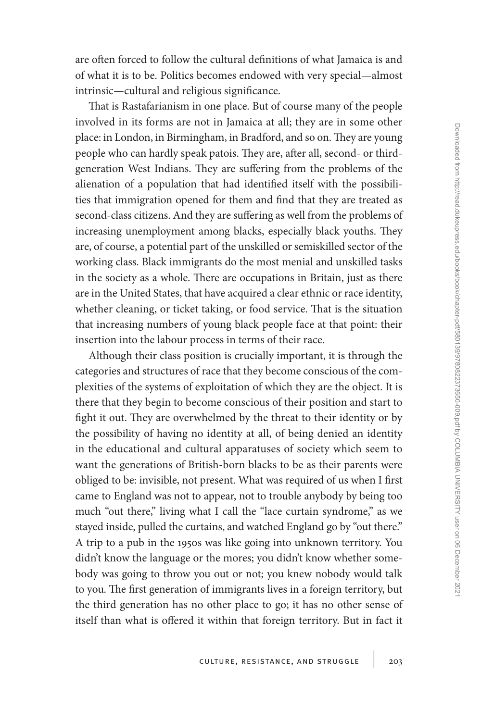That is Rastafarianism in one place. But of course many of the people involved in its forms are not in Jamaica at all; they are in some other place: in London, in Birmingham, in Bradford, and so on. They are young people who can hardly speak patois. They are, after all, second- or thirdgeneration West Indians. They are suffering from the problems of the alienation of a population that had identified itself with the possibilities that immigration opened for them and find that they are treated as second-class citizens. And they are suffering as well from the problems of increasing unemployment among blacks, especially black youths. They are, of course, a potential part of the unskilled or semiskilled sector of the working class. Black immigrants do the most menial and unskilled tasks in the society as a whole. There are occupations in Britain, just as there are in the United States, that have acquired a clear ethnic or race identity, whether cleaning, or ticket taking, or food service. That is the situation that increasing numbers of young black people face at that point: their insertion into the labour process in terms of their race.

Although their class position is crucially important, it is through the categories and structures of race that they become conscious of the complexities of the systems of exploitation of which they are the object. It is there that they begin to become conscious of their position and start to fight it out. They are overwhelmed by the threat to their identity or by the possibility of having no identity at all, of being denied an identity in the educational and cultural apparatuses of society which seem to want the generations of British-born blacks to be as their parents were obliged to be: invisible, not present. What was required of us when I first came to England was not to appear, not to trouble anybody by being too much "out there," living what I call the "lace curtain syndrome," as we stayed inside, pulled the curtains, and watched England go by "out there." A trip to a pub in the 1950s was like going into unknown territory. You didn't know the language or the mores; you didn't know whether somebody was going to throw you out or not; you knew nobody would talk to you. The first generation of immigrants lives in a foreign territory, but the third generation has no other place to go; it has no other sense of itself than what is offered it within that foreign territory. But in fact it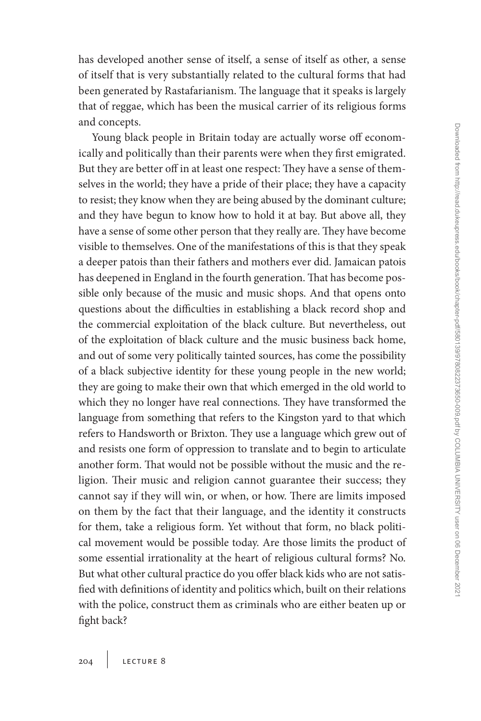has developed another sense of itself, a sense of itself as other, a sense of itself that is very substantially related to the cultural forms that had been generated by Rastafarianism. The language that it speaks is largely that of reggae, which has been the musical carrier of its religious forms and concepts.

Young black people in Britain today are actually worse off economically and politically than their parents were when they first emigrated. But they are better off in at least one respect: They have a sense of themselves in the world; they have a pride of their place; they have a capacity to resist; they know when they are being abused by the dominant culture; and they have begun to know how to hold it at bay. But above all, they have a sense of some other person that they really are. They have become visible to themselves. One of the manifestations of this is that they speak a deeper patois than their fathers and mothers ever did. Jamaican patois has deepened in England in the fourth generation. That has become possible only because of the music and music shops. And that opens onto questions about the difficulties in establishing a black record shop and the commercial exploitation of the black culture. But nevertheless, out of the exploitation of black culture and the music business back home, and out of some very politically tainted sources, has come the possibility of a black subjective identity for these young people in the new world; they are going to make their own that which emerged in the old world to which they no longer have real connections. They have transformed the language from something that refers to the Kingston yard to that which refers to Handsworth or Brixton. They use a language which grew out of and resists one form of oppression to translate and to begin to articulate another form. That would not be possible without the music and the religion. Their music and religion cannot guarantee their success; they cannot say if they will win, or when, or how. There are limits imposed on them by the fact that their language, and the identity it constructs for them, take a religious form. Yet without that form, no black political movement would be possible today. Are those limits the product of some essential irrationality at the heart of religious cultural forms? No. But what other cultural practice do you offer black kids who are not satisfied with definitions of identity and politics which, built on their relations with the police, construct them as criminals who are either beaten up or fight back?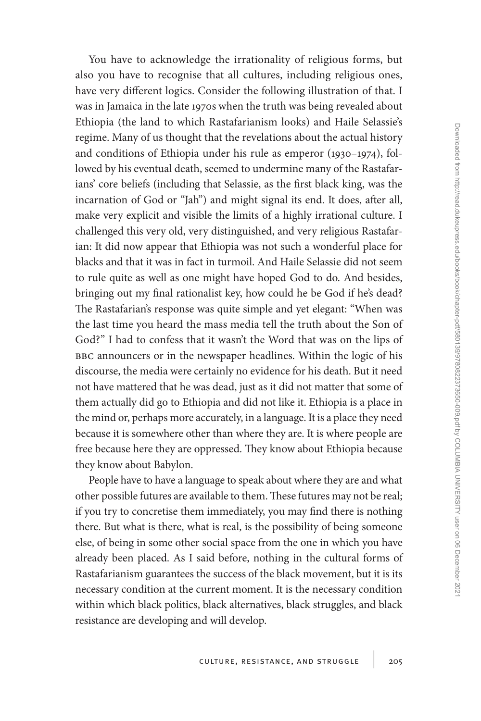You have to acknowledge the irrationality of religious forms, but also you have to recognise that all cultures, including religious ones, have very different logics. Consider the following illustration of that. I was in Jamaica in the late 1970s when the truth was being revealed about Ethiopia (the land to which Rastafarianism looks) and Haile Selassie's regime. Many of us thought that the revelations about the actual history and conditions of Ethiopia under his rule as emperor (1930–1974), followed by his eventual death, seemed to undermine many of the Rastafarians' core beliefs (including that Selassie, as the first black king, was the incarnation of God or "Jah") and might signal its end. It does, after all, make very explicit and visible the limits of a highly irrational culture. I challenged this very old, very distinguished, and very religious Rastafarian: It did now appear that Ethiopia was not such a wonderful place for blacks and that it was in fact in turmoil. And Haile Selassie did not seem to rule quite as well as one might have hoped God to do. And besides, bringing out my final rationalist key, how could he be God if he's dead? The Rastafarian's response was quite simple and yet elegant: "When was the last time you heard the mass media tell the truth about the Son of God?" I had to confess that it wasn't the Word that was on the lips of bbc announcers or in the newspaper headlines. Within the logic of his discourse, the media were certainly no evidence for his death. But it need not have mattered that he was dead, just as it did not matter that some of them actually did go to Ethiopia and did not like it. Ethiopia is a place in the mind or, perhaps more accurately, in a language. It is a place they need because it is somewhere other than where they are. It is where people are free because here they are oppressed. They know about Ethiopia because they know about Babylon.

People have to have a language to speak about where they are and what other possible futures are available to them. These futures may not be real; if you try to concretise them immediately, you may find there is nothing there. But what is there, what is real, is the possibility of being someone else, of being in some other social space from the one in which you have already been placed. As I said before, nothing in the cultural forms of Rastafarianism guarantees the success of the black movement, but it is its necessary condition at the current moment. It is the necessary condition within which black politics, black alternatives, black struggles, and black resistance are developing and will develop.